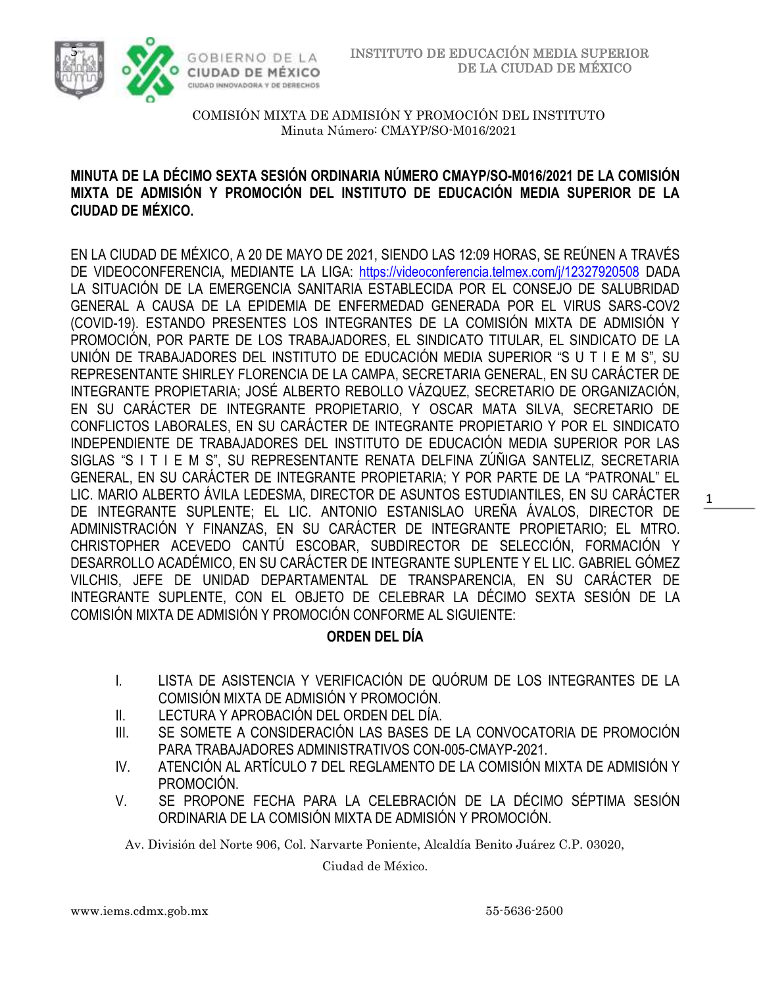

### **MINUTA DE LA DÉCIMO SEXTA SESIÓN ORDINARIA NÚMERO CMAYP/SO-M016/2021 DE LA COMISIÓN MIXTA DE ADMISIÓN Y PROMOCIÓN DEL INSTITUTO DE EDUCACIÓN MEDIA SUPERIOR DE LA CIUDAD DE MÉXICO.**

EN LA CIUDAD DE MÉXICO, A 20 DE MAYO DE 2021, SIENDO LAS 12:09 HORAS, SE REÚNEN A TRAVÉS DE VIDEOCONFERENCIA, MEDIANTE LA LIGA: <https://videoconferencia.telmex.com/j/12327920508> DADA LA SITUACIÓN DE LA EMERGENCIA SANITARIA ESTABLECIDA POR EL CONSEJO DE SALUBRIDAD GENERAL A CAUSA DE LA EPIDEMIA DE ENFERMEDAD GENERADA POR EL VIRUS SARS-COV2 (COVID-19). ESTANDO PRESENTES LOS INTEGRANTES DE LA COMISIÓN MIXTA DE ADMISIÓN Y PROMOCIÓN, POR PARTE DE LOS TRABAJADORES, EL SINDICATO TITULAR, EL SINDICATO DE LA UNIÓN DE TRABAJADORES DEL INSTITUTO DE EDUCACIÓN MEDIA SUPERIOR "S U T I E M S", SU REPRESENTANTE SHIRLEY FLORENCIA DE LA CAMPA, SECRETARIA GENERAL, EN SU CARÁCTER DE INTEGRANTE PROPIETARIA; JOSÉ ALBERTO REBOLLO VÁZQUEZ, SECRETARIO DE ORGANIZACIÓN, EN SU CARÁCTER DE INTEGRANTE PROPIETARIO, Y OSCAR MATA SILVA, SECRETARIO DE CONFLICTOS LABORALES, EN SU CARÁCTER DE INTEGRANTE PROPIETARIO Y POR EL SINDICATO INDEPENDIENTE DE TRABAJADORES DEL INSTITUTO DE EDUCACIÓN MEDIA SUPERIOR POR LAS SIGLAS "S I T I E M S", SU REPRESENTANTE RENATA DELFINA ZÚÑIGA SANTELIZ, SECRETARIA GENERAL, EN SU CARÁCTER DE INTEGRANTE PROPIETARIA; Y POR PARTE DE LA "PATRONAL" EL LIC. MARIO ALBERTO ÁVILA LEDESMA, DIRECTOR DE ASUNTOS ESTUDIANTILES, EN SU CARÁCTER DE INTEGRANTE SUPLENTE; EL LIC. ANTONIO ESTANISLAO UREÑA ÁVALOS, DIRECTOR DE ADMINISTRACIÓN Y FINANZAS, EN SU CARÁCTER DE INTEGRANTE PROPIETARIO; EL MTRO. CHRISTOPHER ACEVEDO CANTÚ ESCOBAR, SUBDIRECTOR DE SELECCIÓN, FORMACIÓN Y DESARROLLO ACADÉMICO, EN SU CARÁCTER DE INTEGRANTE SUPLENTE Y EL LIC. GABRIEL GÓMEZ VILCHIS, JEFE DE UNIDAD DEPARTAMENTAL DE TRANSPARENCIA, EN SU CARÁCTER DE INTEGRANTE SUPLENTE, CON EL OBJETO DE CELEBRAR LA DÉCIMO SEXTA SESIÓN DE LA COMISIÓN MIXTA DE ADMISIÓN Y PROMOCIÓN CONFORME AL SIGUIENTE:

## **ORDEN DEL DÍA**

- I. LISTA DE ASISTENCIA Y VERIFICACIÓN DE QUÓRUM DE LOS INTEGRANTES DE LA COMISIÓN MIXTA DE ADMISIÓN Y PROMOCIÓN.
- II. LECTURA Y APROBACIÓN DEL ORDEN DEL DÍA.
- III. SE SOMETE A CONSIDERACIÓN LAS BASES DE LA CONVOCATORIA DE PROMOCIÓN PARA TRABAJADORES ADMINISTRATIVOS CON-005-CMAYP-2021.
- IV. ATENCIÓN AL ARTÍCULO 7 DEL REGLAMENTO DE LA COMISIÓN MIXTA DE ADMISIÓN Y PROMOCIÓN.
- V. SE PROPONE FECHA PARA LA CELEBRACIÓN DE LA DÉCIMO SÉPTIMA SESIÓN ORDINARIA DE LA COMISIÓN MIXTA DE ADMISIÓN Y PROMOCIÓN.

Av. División del Norte 906, Col. Narvarte Poniente, Alcaldía Benito Juárez C.P. 03020,

Ciudad de México.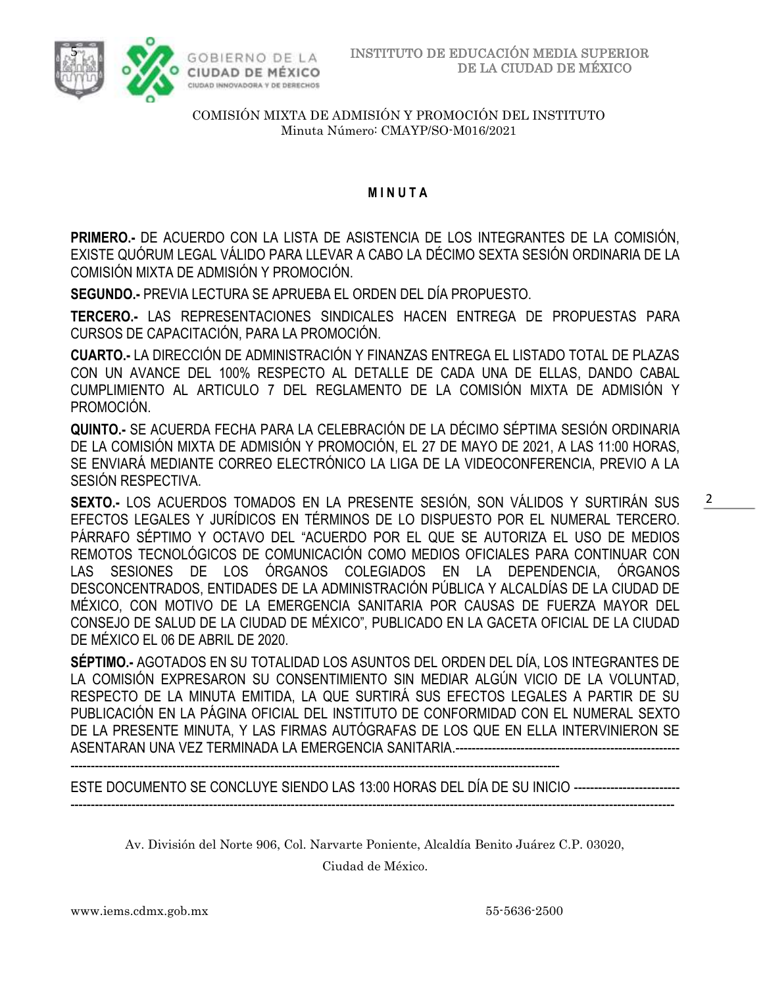



### **M I N U T A**

**PRIMERO.-** DE ACUERDO CON LA LISTA DE ASISTENCIA DE LOS INTEGRANTES DE LA COMISIÓN, EXISTE QUÓRUM LEGAL VÁLIDO PARA LLEVAR A CABO LA DÉCIMO SEXTA SESIÓN ORDINARIA DE LA COMISIÓN MIXTA DE ADMISIÓN Y PROMOCIÓN.

**SEGUNDO.-** PREVIA LECTURA SE APRUEBA EL ORDEN DEL DÍA PROPUESTO.

**TERCERO.-** LAS REPRESENTACIONES SINDICALES HACEN ENTREGA DE PROPUESTAS PARA CURSOS DE CAPACITACIÓN, PARA LA PROMOCIÓN.

**CUARTO.-** LA DIRECCIÓN DE ADMINISTRACIÓN Y FINANZAS ENTREGA EL LISTADO TOTAL DE PLAZAS CON UN AVANCE DEL 100% RESPECTO AL DETALLE DE CADA UNA DE ELLAS, DANDO CABAL CUMPLIMIENTO AL ARTICULO 7 DEL REGLAMENTO DE LA COMISIÓN MIXTA DE ADMISIÓN Y PROMOCIÓN.

**QUINTO.-** SE ACUERDA FECHA PARA LA CELEBRACIÓN DE LA DÉCIMO SÉPTIMA SESIÓN ORDINARIA DE LA COMISIÓN MIXTA DE ADMISIÓN Y PROMOCIÓN, EL 27 DE MAYO DE 2021, A LAS 11:00 HORAS, SE ENVIARÁ MEDIANTE CORREO ELECTRÓNICO LA LIGA DE LA VIDEOCONFERENCIA, PREVIO A LA SESIÓN RESPECTIVA.

**SEXTO.-** LOS ACUERDOS TOMADOS EN LA PRESENTE SESIÓN, SON VÁLIDOS Y SURTIRÁN SUS EFECTOS LEGALES Y JURÍDICOS EN TÉRMINOS DE LO DISPUESTO POR EL NUMERAL TERCERO. PÁRRAFO SÉPTIMO Y OCTAVO DEL "ACUERDO POR EL QUE SE AUTORIZA EL USO DE MEDIOS REMOTOS TECNOLÓGICOS DE COMUNICACIÓN COMO MEDIOS OFICIALES PARA CONTINUAR CON LAS SESIONES DE LOS ÓRGANOS COLEGIADOS EN LA DEPENDENCIA, ÓRGANOS DESCONCENTRADOS, ENTIDADES DE LA ADMINISTRACIÓN PÚBLICA Y ALCALDÍAS DE LA CIUDAD DE MÉXICO, CON MOTIVO DE LA EMERGENCIA SANITARIA POR CAUSAS DE FUERZA MAYOR DEL CONSEJO DE SALUD DE LA CIUDAD DE MÉXICO", PUBLICADO EN LA GACETA OFICIAL DE LA CIUDAD DE MÉXICO EL 06 DE ABRIL DE 2020.

**SÉPTIMO.-** AGOTADOS EN SU TOTALIDAD LOS ASUNTOS DEL ORDEN DEL DÍA, LOS INTEGRANTES DE LA COMISIÓN EXPRESARON SU CONSENTIMIENTO SIN MEDIAR ALGÚN VICIO DE LA VOLUNTAD, RESPECTO DE LA MINUTA EMITIDA, LA QUE SURTIRÁ SUS EFECTOS LEGALES A PARTIR DE SU PUBLICACIÓN EN LA PÁGINA OFICIAL DEL INSTITUTO DE CONFORMIDAD CON EL NUMERAL SEXTO DE LA PRESENTE MINUTA, Y LAS FIRMAS AUTÓGRAFAS DE LOS QUE EN ELLA INTERVINIERON SE ASENTARAN UNA VEZ TERMINADA LA EMERGENCIA SANITARIA.---------------------

------------------------------------------------------------------------------------------------------------------------

ESTE DOCUMENTO SE CONCLUYE SIENDO LAS 13:00 HORAS DEL DÍA DE SU INICIO -------------------------- ----------------------------------------------------------------------------------------------------------------------------------------------------

Av. División del Norte 906, Col. Narvarte Poniente, Alcaldía Benito Juárez C.P. 03020,

Ciudad de México.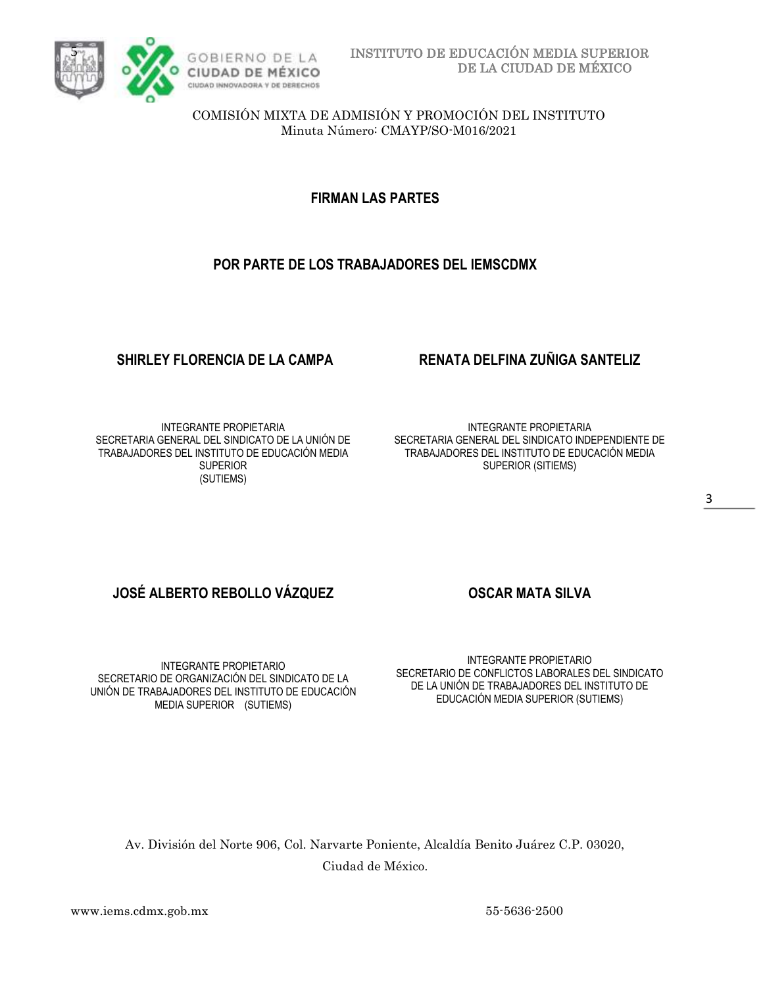

**FIRMAN LAS PARTES**

### **POR PARTE DE LOS TRABAJADORES DEL IEMSCDMX**

### INTEGRANTE PROPIETARIA SECRETARIA GENERAL DEL SINDICATO DE LA UNIÓN DE TRABAJADORES DEL INSTITUTO DE EDUCACIÓN MEDIA **SUPERIOR** (SUTIEMS)

## **SHIRLEY FLORENCIA DE LA CAMPA RENATA DELFINA ZUÑIGA SANTELIZ**

INTEGRANTE PROPIETARIA SECRETARIA GENERAL DEL SINDICATO INDEPENDIENTE DE TRABAJADORES DEL INSTITUTO DE EDUCACIÓN MEDIA SUPERIOR (SITIEMS)

# **JOSÉ ALBERTO REBOLLO VÁZQUEZ OSCAR MATA SILVA**

INTEGRANTE PROPIETARIO SECRETARIO DE ORGANIZACIÓN DEL SINDICATO DE LA UNIÓN DE TRABAJADORES DEL INSTITUTO DE EDUCACIÓN MEDIA SUPERIOR (SUTIEMS)

INTEGRANTE PROPIETARIO SECRETARIO DE CONFLICTOS LABORALES DEL SINDICATO DE LA UNIÓN DE TRABAJADORES DEL INSTITUTO DE EDUCACIÓN MEDIA SUPERIOR (SUTIEMS)

Av. División del Norte 906, Col. Narvarte Poniente, Alcaldía Benito Juárez C.P. 03020, Ciudad de México.